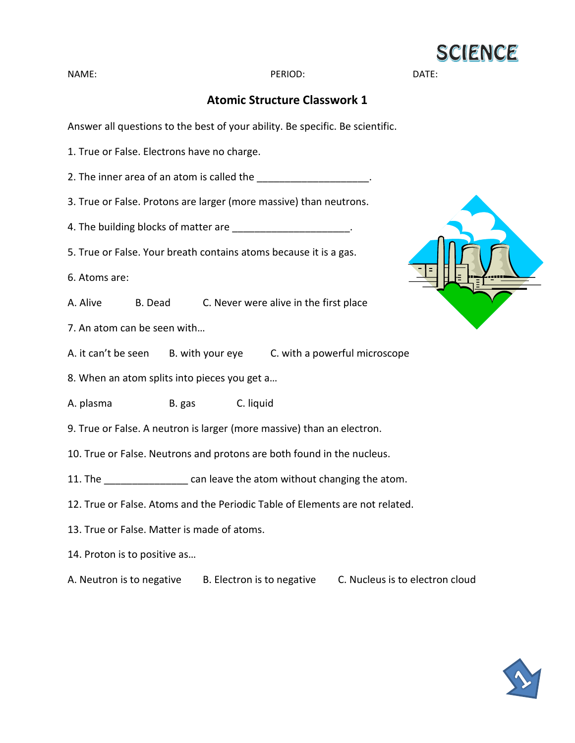

NAME: DATE: PERIOD: PERIOD: DATE:

## **Atomic Structure Classwork 1**

Answer all questions to the best of your ability. Be specific. Be scientific.

1. True or False. Electrons have no charge.

2. The inner area of an atom is called the  $\sim$ 

3. True or False. Protons are larger (more massive) than neutrons.

4. The building blocks of matter are  $\blacksquare$ 

5. True or False. Your breath contains atoms because it is a gas.

6. Atoms are:

A. Alive B. Dead C. Never were alive in the first place

7. An atom can be seen with…

A. it can't be seen B. with your eye C. with a powerful microscope

8. When an atom splits into pieces you get a…

A. plasma B. gas C. liquid

9. True or False. A neutron is larger (more massive) than an electron.

10. True or False. Neutrons and protons are both found in the nucleus.

11. The \_\_\_\_\_\_\_\_\_\_\_\_\_\_\_\_\_ can leave the atom without changing the atom.

- 12. True or False. Atoms and the Periodic Table of Elements are not related.
- 13. True or False. Matter is made of atoms.
- 14. Proton is to positive as…

A. Neutron is to negative B. Electron is to negative C. Nucleus is to electron cloud